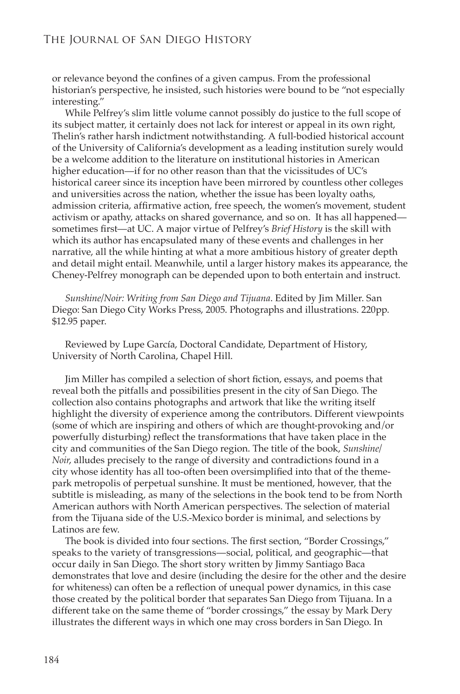*Sunshine/Noir: Writing from San Diego and Tijuana*. Edited by Jim Miller. San Diego: San Diego City Works Press, 2005. Photographs and illustrations. 220pp. \$12.95 paper.

Reviewed by Lupe García, Doctoral Candidate, Department of History, University of North Carolina, Chapel Hill.

Jim Miller has compiled a selection of short fiction, essays, and poems that reveal both the pitfalls and possibilities present in the city of San Diego. The collection also contains photographs and artwork that like the writing itself highlight the diversity of experience among the contributors. Different viewpoints (some of which are inspiring and others of which are thought-provoking and/or powerfully disturbing) reflect the transformations that have taken place in the city and communities of the San Diego region. The title of the book, *Sunshine/ Noir*, alludes precisely to the range of diversity and contradictions found in a city whose identity has all too-often been oversimplified into that of the themepark metropolis of perpetual sunshine. It must be mentioned, however, that the subtitle is misleading, as many of the selections in the book tend to be from North American authors with North American perspectives. The selection of material from the Tijuana side of the U.S.-Mexico border is minimal, and selections by Latinos are few.

The book is divided into four sections. The first section, "Border Crossings," speaks to the variety of transgressions—social, political, and geographic—that occur daily in San Diego. The short story written by Jimmy Santiago Baca demonstrates that love and desire (including the desire for the other and the desire for whiteness) can often be a reflection of unequal power dynamics, in this case those created by the political border that separates San Diego from Tijuana. In a different take on the same theme of "border crossings," the essay by Mark Dery illustrates the different ways in which one may cross borders in San Diego. In